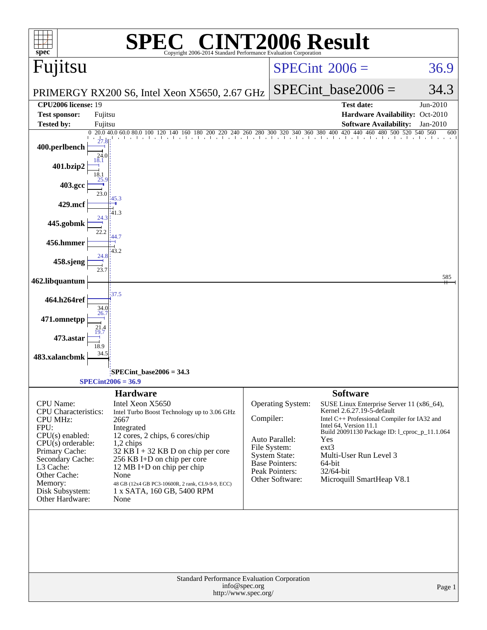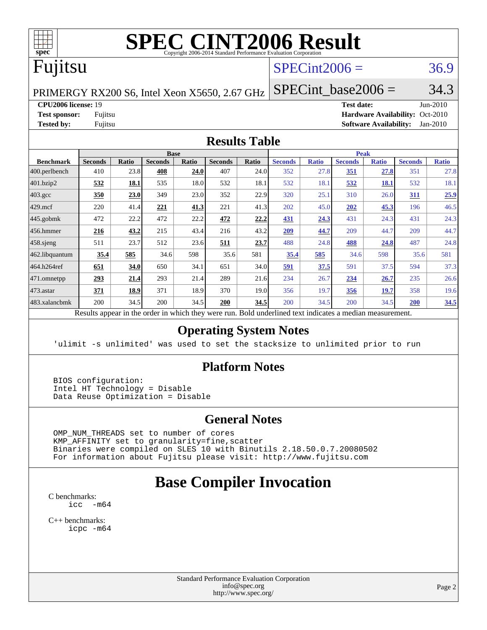

# **[SPEC CINT2006 Result](http://www.spec.org/auto/cpu2006/Docs/result-fields.html#SPECCINT2006Result)**

# Fujitsu

### $SPECint2006 = 36.9$  $SPECint2006 = 36.9$

PRIMERGY RX200 S6, Intel Xeon X5650, 2.67 GHz

SPECint base2006 =  $34.3$ 

**[CPU2006 license:](http://www.spec.org/auto/cpu2006/Docs/result-fields.html#CPU2006license)** 19 **[Test date:](http://www.spec.org/auto/cpu2006/Docs/result-fields.html#Testdate)** Jun-2010 **[Test sponsor:](http://www.spec.org/auto/cpu2006/Docs/result-fields.html#Testsponsor)** Fujitsu **[Hardware Availability:](http://www.spec.org/auto/cpu2006/Docs/result-fields.html#HardwareAvailability)** Oct-2010 **[Tested by:](http://www.spec.org/auto/cpu2006/Docs/result-fields.html#Testedby)** Fujitsu **[Software Availability:](http://www.spec.org/auto/cpu2006/Docs/result-fields.html#SoftwareAvailability)** Jan-2010

#### **[Results Table](http://www.spec.org/auto/cpu2006/Docs/result-fields.html#ResultsTable)**

|                                                                                                                     | <b>Base</b>    |       |                |       |                |       | <b>Peak</b>    |              |                |              |                |              |  |
|---------------------------------------------------------------------------------------------------------------------|----------------|-------|----------------|-------|----------------|-------|----------------|--------------|----------------|--------------|----------------|--------------|--|
| <b>Benchmark</b>                                                                                                    | <b>Seconds</b> | Ratio | <b>Seconds</b> | Ratio | <b>Seconds</b> | Ratio | <b>Seconds</b> | <b>Ratio</b> | <b>Seconds</b> | <b>Ratio</b> | <b>Seconds</b> | <b>Ratio</b> |  |
| 400.perlbench                                                                                                       | 410            | 23.8  | 408            | 24.0  | 407            | 24.0  | 352            | 27.8         | 351            | 27.8         | 351            | 27.8         |  |
| 401.bzip2                                                                                                           | 532            | 18.1  | 535            | 18.0  | 532            | 18.1  | 532            | 18.1         | 532            | <u>18.1</u>  | 532            | 18.1         |  |
| $403.\text{gcc}$                                                                                                    | 350            | 23.0  | 349            | 23.0  | 352            | 22.9  | 320            | 25.1         | 310            | 26.0         | <b>311</b>     | 25.9         |  |
| $429$ .mcf                                                                                                          | 220            | 41.4  | 221            | 41.3  | 221            | 41.3  | 202            | 45.0         | 202            | 45.3         | 196            | 46.5         |  |
| $445$ .gobmk                                                                                                        | 472            | 22.2  | 472            | 22.2  | 472            | 22.2  | 431            | 24.3         | 431            | 24.3         | 431            | 24.3         |  |
| $456.$ hmmer                                                                                                        | 216            | 43.2  | 215            | 43.4  | 216            | 43.2  | 209            | 44.7         | 209            | 44.7         | 209            | 44.7         |  |
| $458$ sjeng                                                                                                         | 511            | 23.7  | 512            | 23.6  | 511            | 23.7  | 488            | 24.8         | <b>488</b>     | 24.8         | 487            | 24.8         |  |
| 462.libquantum                                                                                                      | 35.4           | 585   | 34.6           | 598   | 35.6           | 581   | 35.4           | 585          | 34.6           | 598          | 35.6           | 581          |  |
| 464.h264ref                                                                                                         | 651            | 34.0  | 650            | 34.1  | 651            | 34.0  | 591            | 37.5         | 591            | 37.5         | 594            | 37.3         |  |
| 471.omnetpp                                                                                                         | 293            | 21.4  | 293            | 21.4  | 289            | 21.6  | 234            | 26.7         | 234            | 26.7         | 235            | 26.6         |  |
| $473$ . astar                                                                                                       | 371            | 18.9  | 371            | 18.9  | 370            | 19.0  | 356            | 19.7         | 356            | 19.7         | 358            | 19.6         |  |
| 483.xalancbmk                                                                                                       | 200            | 34.5  | 200            | 34.5  | 200            | 34.5  | 200            | 34.5         | 200            | 34.5         | 200            | 34.5         |  |
| Described and also the their and an indicate the these created man<br>Deld and called to almost indicates a madison |                |       |                |       |                |       |                |              |                |              |                |              |  |

Results appear in the [order in which they were run.](http://www.spec.org/auto/cpu2006/Docs/result-fields.html#RunOrder) Bold underlined text [indicates a median measurement.](http://www.spec.org/auto/cpu2006/Docs/result-fields.html#Median)

#### **[Operating System Notes](http://www.spec.org/auto/cpu2006/Docs/result-fields.html#OperatingSystemNotes)**

'ulimit -s unlimited' was used to set the stacksize to unlimited prior to run

#### **[Platform Notes](http://www.spec.org/auto/cpu2006/Docs/result-fields.html#PlatformNotes)**

 BIOS configuration: Intel HT Technology = Disable Data Reuse Optimization = Disable

#### **[General Notes](http://www.spec.org/auto/cpu2006/Docs/result-fields.html#GeneralNotes)**

 OMP\_NUM\_THREADS set to number of cores KMP\_AFFINITY set to granularity=fine,scatter Binaries were compiled on SLES 10 with Binutils 2.18.50.0.7.20080502 For information about Fujitsu please visit: <http://www.fujitsu.com>

## **[Base Compiler Invocation](http://www.spec.org/auto/cpu2006/Docs/result-fields.html#BaseCompilerInvocation)**

[C benchmarks](http://www.spec.org/auto/cpu2006/Docs/result-fields.html#Cbenchmarks):  $\text{icc}$   $-\text{m64}$ 

[C++ benchmarks:](http://www.spec.org/auto/cpu2006/Docs/result-fields.html#CXXbenchmarks) [icpc -m64](http://www.spec.org/cpu2006/results/res2010q3/cpu2006-20100706-12324.flags.html#user_CXXbase_intel_icpc_64bit_fc66a5337ce925472a5c54ad6a0de310)

> Standard Performance Evaluation Corporation [info@spec.org](mailto:info@spec.org) <http://www.spec.org/>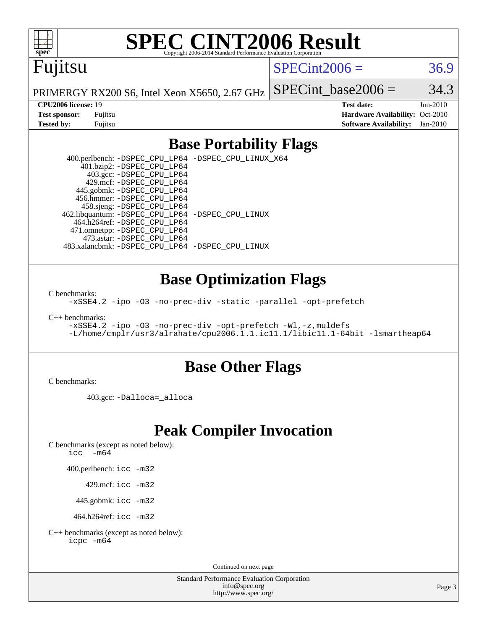

# **[SPEC CINT2006 Result](http://www.spec.org/auto/cpu2006/Docs/result-fields.html#SPECCINT2006Result)**

# Fujitsu

 $SPECint2006 = 36.9$  $SPECint2006 = 36.9$ 

PRIMERGY RX200 S6, Intel Xeon X5650, 2.67 GHz

SPECint base2006 =  $34.3$ 

**[CPU2006 license:](http://www.spec.org/auto/cpu2006/Docs/result-fields.html#CPU2006license)** 19 **[Test date:](http://www.spec.org/auto/cpu2006/Docs/result-fields.html#Testdate)** Jun-2010 **[Test sponsor:](http://www.spec.org/auto/cpu2006/Docs/result-fields.html#Testsponsor)** Fujitsu **[Hardware Availability:](http://www.spec.org/auto/cpu2006/Docs/result-fields.html#HardwareAvailability)** Oct-2010 **[Tested by:](http://www.spec.org/auto/cpu2006/Docs/result-fields.html#Testedby)** Fujitsu **[Software Availability:](http://www.spec.org/auto/cpu2006/Docs/result-fields.html#SoftwareAvailability)** Jan-2010

#### **[Base Portability Flags](http://www.spec.org/auto/cpu2006/Docs/result-fields.html#BasePortabilityFlags)**

 400.perlbench: [-DSPEC\\_CPU\\_LP64](http://www.spec.org/cpu2006/results/res2010q3/cpu2006-20100706-12324.flags.html#b400.perlbench_basePORTABILITY_DSPEC_CPU_LP64) [-DSPEC\\_CPU\\_LINUX\\_X64](http://www.spec.org/cpu2006/results/res2010q3/cpu2006-20100706-12324.flags.html#b400.perlbench_baseCPORTABILITY_DSPEC_CPU_LINUX_X64) 401.bzip2: [-DSPEC\\_CPU\\_LP64](http://www.spec.org/cpu2006/results/res2010q3/cpu2006-20100706-12324.flags.html#suite_basePORTABILITY401_bzip2_DSPEC_CPU_LP64) 403.gcc: [-DSPEC\\_CPU\\_LP64](http://www.spec.org/cpu2006/results/res2010q3/cpu2006-20100706-12324.flags.html#suite_basePORTABILITY403_gcc_DSPEC_CPU_LP64) 429.mcf: [-DSPEC\\_CPU\\_LP64](http://www.spec.org/cpu2006/results/res2010q3/cpu2006-20100706-12324.flags.html#suite_basePORTABILITY429_mcf_DSPEC_CPU_LP64) 445.gobmk: [-DSPEC\\_CPU\\_LP64](http://www.spec.org/cpu2006/results/res2010q3/cpu2006-20100706-12324.flags.html#suite_basePORTABILITY445_gobmk_DSPEC_CPU_LP64) 456.hmmer: [-DSPEC\\_CPU\\_LP64](http://www.spec.org/cpu2006/results/res2010q3/cpu2006-20100706-12324.flags.html#suite_basePORTABILITY456_hmmer_DSPEC_CPU_LP64) 458.sjeng: [-DSPEC\\_CPU\\_LP64](http://www.spec.org/cpu2006/results/res2010q3/cpu2006-20100706-12324.flags.html#suite_basePORTABILITY458_sjeng_DSPEC_CPU_LP64) 462.libquantum: [-DSPEC\\_CPU\\_LP64](http://www.spec.org/cpu2006/results/res2010q3/cpu2006-20100706-12324.flags.html#suite_basePORTABILITY462_libquantum_DSPEC_CPU_LP64) [-DSPEC\\_CPU\\_LINUX](http://www.spec.org/cpu2006/results/res2010q3/cpu2006-20100706-12324.flags.html#b462.libquantum_baseCPORTABILITY_DSPEC_CPU_LINUX) 464.h264ref: [-DSPEC\\_CPU\\_LP64](http://www.spec.org/cpu2006/results/res2010q3/cpu2006-20100706-12324.flags.html#suite_basePORTABILITY464_h264ref_DSPEC_CPU_LP64) 471.omnetpp: [-DSPEC\\_CPU\\_LP64](http://www.spec.org/cpu2006/results/res2010q3/cpu2006-20100706-12324.flags.html#suite_basePORTABILITY471_omnetpp_DSPEC_CPU_LP64) 473.astar: [-DSPEC\\_CPU\\_LP64](http://www.spec.org/cpu2006/results/res2010q3/cpu2006-20100706-12324.flags.html#suite_basePORTABILITY473_astar_DSPEC_CPU_LP64) 483.xalancbmk: [-DSPEC\\_CPU\\_LP64](http://www.spec.org/cpu2006/results/res2010q3/cpu2006-20100706-12324.flags.html#suite_basePORTABILITY483_xalancbmk_DSPEC_CPU_LP64) [-DSPEC\\_CPU\\_LINUX](http://www.spec.org/cpu2006/results/res2010q3/cpu2006-20100706-12324.flags.html#b483.xalancbmk_baseCXXPORTABILITY_DSPEC_CPU_LINUX)

#### **[Base Optimization Flags](http://www.spec.org/auto/cpu2006/Docs/result-fields.html#BaseOptimizationFlags)**

[C benchmarks](http://www.spec.org/auto/cpu2006/Docs/result-fields.html#Cbenchmarks):

[-xSSE4.2](http://www.spec.org/cpu2006/results/res2010q3/cpu2006-20100706-12324.flags.html#user_CCbase_f-xSSE42_f91528193cf0b216347adb8b939d4107) [-ipo](http://www.spec.org/cpu2006/results/res2010q3/cpu2006-20100706-12324.flags.html#user_CCbase_f-ipo) [-O3](http://www.spec.org/cpu2006/results/res2010q3/cpu2006-20100706-12324.flags.html#user_CCbase_f-O3) [-no-prec-div](http://www.spec.org/cpu2006/results/res2010q3/cpu2006-20100706-12324.flags.html#user_CCbase_f-no-prec-div) [-static](http://www.spec.org/cpu2006/results/res2010q3/cpu2006-20100706-12324.flags.html#user_CCbase_f-static) [-parallel](http://www.spec.org/cpu2006/results/res2010q3/cpu2006-20100706-12324.flags.html#user_CCbase_f-parallel) [-opt-prefetch](http://www.spec.org/cpu2006/results/res2010q3/cpu2006-20100706-12324.flags.html#user_CCbase_f-opt-prefetch)

[C++ benchmarks:](http://www.spec.org/auto/cpu2006/Docs/result-fields.html#CXXbenchmarks)

[-xSSE4.2](http://www.spec.org/cpu2006/results/res2010q3/cpu2006-20100706-12324.flags.html#user_CXXbase_f-xSSE42_f91528193cf0b216347adb8b939d4107) [-ipo](http://www.spec.org/cpu2006/results/res2010q3/cpu2006-20100706-12324.flags.html#user_CXXbase_f-ipo) [-O3](http://www.spec.org/cpu2006/results/res2010q3/cpu2006-20100706-12324.flags.html#user_CXXbase_f-O3) [-no-prec-div](http://www.spec.org/cpu2006/results/res2010q3/cpu2006-20100706-12324.flags.html#user_CXXbase_f-no-prec-div) [-opt-prefetch](http://www.spec.org/cpu2006/results/res2010q3/cpu2006-20100706-12324.flags.html#user_CXXbase_f-opt-prefetch) [-Wl,-z,muldefs](http://www.spec.org/cpu2006/results/res2010q3/cpu2006-20100706-12324.flags.html#user_CXXbase_link_force_multiple1_74079c344b956b9658436fd1b6dd3a8a) [-L/home/cmplr/usr3/alrahate/cpu2006.1.1.ic11.1/libic11.1-64bit -lsmartheap64](http://www.spec.org/cpu2006/results/res2010q3/cpu2006-20100706-12324.flags.html#user_CXXbase_SmartHeap64_e2306cda84805d1ab360117a79ff779c)

#### **[Base Other Flags](http://www.spec.org/auto/cpu2006/Docs/result-fields.html#BaseOtherFlags)**

[C benchmarks](http://www.spec.org/auto/cpu2006/Docs/result-fields.html#Cbenchmarks):

403.gcc: [-Dalloca=\\_alloca](http://www.spec.org/cpu2006/results/res2010q3/cpu2006-20100706-12324.flags.html#b403.gcc_baseEXTRA_CFLAGS_Dalloca_be3056838c12de2578596ca5467af7f3)

## **[Peak Compiler Invocation](http://www.spec.org/auto/cpu2006/Docs/result-fields.html#PeakCompilerInvocation)**

[C benchmarks \(except as noted below\)](http://www.spec.org/auto/cpu2006/Docs/result-fields.html#Cbenchmarksexceptasnotedbelow):

icc  $-m64$ 

400.perlbench: [icc -m32](http://www.spec.org/cpu2006/results/res2010q3/cpu2006-20100706-12324.flags.html#user_peakCCLD400_perlbench_intel_icc_32bit_a6a621f8d50482236b970c6ac5f55f93)

429.mcf: [icc -m32](http://www.spec.org/cpu2006/results/res2010q3/cpu2006-20100706-12324.flags.html#user_peakCCLD429_mcf_intel_icc_32bit_a6a621f8d50482236b970c6ac5f55f93)

445.gobmk: [icc -m32](http://www.spec.org/cpu2006/results/res2010q3/cpu2006-20100706-12324.flags.html#user_peakCCLD445_gobmk_intel_icc_32bit_a6a621f8d50482236b970c6ac5f55f93)

464.h264ref: [icc -m32](http://www.spec.org/cpu2006/results/res2010q3/cpu2006-20100706-12324.flags.html#user_peakCCLD464_h264ref_intel_icc_32bit_a6a621f8d50482236b970c6ac5f55f93)

[C++ benchmarks \(except as noted below\):](http://www.spec.org/auto/cpu2006/Docs/result-fields.html#CXXbenchmarksexceptasnotedbelow) [icpc -m64](http://www.spec.org/cpu2006/results/res2010q3/cpu2006-20100706-12324.flags.html#user_CXXpeak_intel_icpc_64bit_fc66a5337ce925472a5c54ad6a0de310)

Continued on next page

Standard Performance Evaluation Corporation [info@spec.org](mailto:info@spec.org) <http://www.spec.org/>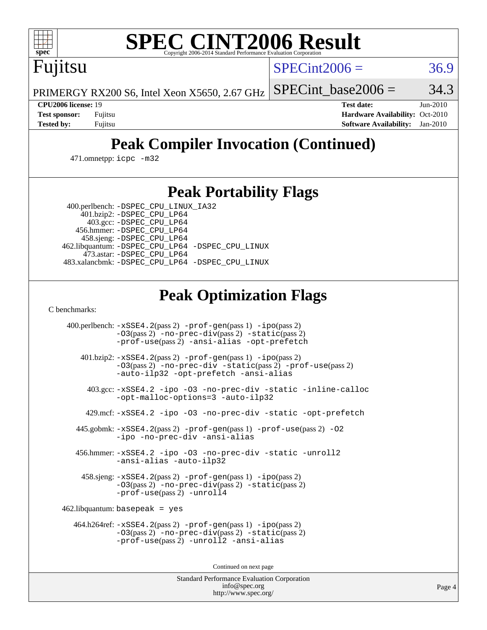

# **[SPEC CINT2006 Result](http://www.spec.org/auto/cpu2006/Docs/result-fields.html#SPECCINT2006Result)**

Fujitsu

 $SPECint2006 = 36.9$  $SPECint2006 = 36.9$ 

PRIMERGY RX200 S6, Intel Xeon X5650, 2.67 GHz SPECint base2006 =  $34.3$ 

**[CPU2006 license:](http://www.spec.org/auto/cpu2006/Docs/result-fields.html#CPU2006license)** 19 **[Test date:](http://www.spec.org/auto/cpu2006/Docs/result-fields.html#Testdate)** Jun-2010 **[Test sponsor:](http://www.spec.org/auto/cpu2006/Docs/result-fields.html#Testsponsor)** Fujitsu **[Hardware Availability:](http://www.spec.org/auto/cpu2006/Docs/result-fields.html#HardwareAvailability)** Oct-2010 **[Tested by:](http://www.spec.org/auto/cpu2006/Docs/result-fields.html#Testedby)** Fujitsu **[Software Availability:](http://www.spec.org/auto/cpu2006/Docs/result-fields.html#SoftwareAvailability)** Jan-2010

# **[Peak Compiler Invocation \(Continued\)](http://www.spec.org/auto/cpu2006/Docs/result-fields.html#PeakCompilerInvocation)**

471.omnetpp: [icpc -m32](http://www.spec.org/cpu2006/results/res2010q3/cpu2006-20100706-12324.flags.html#user_peakCXXLD471_omnetpp_intel_icpc_32bit_4e5a5ef1a53fd332b3c49e69c3330699)

### **[Peak Portability Flags](http://www.spec.org/auto/cpu2006/Docs/result-fields.html#PeakPortabilityFlags)**

400.perlbench: [-DSPEC\\_CPU\\_LINUX\\_IA32](http://www.spec.org/cpu2006/results/res2010q3/cpu2006-20100706-12324.flags.html#b400.perlbench_peakCPORTABILITY_DSPEC_CPU_LINUX_IA32)

 401.bzip2: [-DSPEC\\_CPU\\_LP64](http://www.spec.org/cpu2006/results/res2010q3/cpu2006-20100706-12324.flags.html#suite_peakPORTABILITY401_bzip2_DSPEC_CPU_LP64) 403.gcc: [-DSPEC\\_CPU\\_LP64](http://www.spec.org/cpu2006/results/res2010q3/cpu2006-20100706-12324.flags.html#suite_peakPORTABILITY403_gcc_DSPEC_CPU_LP64) 456.hmmer: [-DSPEC\\_CPU\\_LP64](http://www.spec.org/cpu2006/results/res2010q3/cpu2006-20100706-12324.flags.html#suite_peakPORTABILITY456_hmmer_DSPEC_CPU_LP64) 458.sjeng: [-DSPEC\\_CPU\\_LP64](http://www.spec.org/cpu2006/results/res2010q3/cpu2006-20100706-12324.flags.html#suite_peakPORTABILITY458_sjeng_DSPEC_CPU_LP64) 462.libquantum: [-DSPEC\\_CPU\\_LP64](http://www.spec.org/cpu2006/results/res2010q3/cpu2006-20100706-12324.flags.html#suite_peakPORTABILITY462_libquantum_DSPEC_CPU_LP64) [-DSPEC\\_CPU\\_LINUX](http://www.spec.org/cpu2006/results/res2010q3/cpu2006-20100706-12324.flags.html#b462.libquantum_peakCPORTABILITY_DSPEC_CPU_LINUX) 473.astar: [-DSPEC\\_CPU\\_LP64](http://www.spec.org/cpu2006/results/res2010q3/cpu2006-20100706-12324.flags.html#suite_peakPORTABILITY473_astar_DSPEC_CPU_LP64) 483.xalancbmk: [-DSPEC\\_CPU\\_LP64](http://www.spec.org/cpu2006/results/res2010q3/cpu2006-20100706-12324.flags.html#suite_peakPORTABILITY483_xalancbmk_DSPEC_CPU_LP64) [-DSPEC\\_CPU\\_LINUX](http://www.spec.org/cpu2006/results/res2010q3/cpu2006-20100706-12324.flags.html#b483.xalancbmk_peakCXXPORTABILITY_DSPEC_CPU_LINUX)

## **[Peak Optimization Flags](http://www.spec.org/auto/cpu2006/Docs/result-fields.html#PeakOptimizationFlags)**

[C benchmarks](http://www.spec.org/auto/cpu2006/Docs/result-fields.html#Cbenchmarks):

 400.perlbench: [-xSSE4.2](http://www.spec.org/cpu2006/results/res2010q3/cpu2006-20100706-12324.flags.html#user_peakPASS2_CFLAGSPASS2_LDCFLAGS400_perlbench_f-xSSE42_f91528193cf0b216347adb8b939d4107)(pass 2) [-prof-gen](http://www.spec.org/cpu2006/results/res2010q3/cpu2006-20100706-12324.flags.html#user_peakPASS1_CFLAGSPASS1_LDCFLAGS400_perlbench_prof_gen_e43856698f6ca7b7e442dfd80e94a8fc)(pass 1) [-ipo](http://www.spec.org/cpu2006/results/res2010q3/cpu2006-20100706-12324.flags.html#user_peakPASS2_CFLAGSPASS2_LDCFLAGS400_perlbench_f-ipo)(pass 2) [-O3](http://www.spec.org/cpu2006/results/res2010q3/cpu2006-20100706-12324.flags.html#user_peakPASS2_CFLAGSPASS2_LDCFLAGS400_perlbench_f-O3)(pass 2) [-no-prec-div](http://www.spec.org/cpu2006/results/res2010q3/cpu2006-20100706-12324.flags.html#user_peakPASS2_CFLAGSPASS2_LDCFLAGS400_perlbench_f-no-prec-div)(pass 2) [-static](http://www.spec.org/cpu2006/results/res2010q3/cpu2006-20100706-12324.flags.html#user_peakPASS2_CFLAGSPASS2_LDCFLAGS400_perlbench_f-static)(pass 2) [-prof-use](http://www.spec.org/cpu2006/results/res2010q3/cpu2006-20100706-12324.flags.html#user_peakPASS2_CFLAGSPASS2_LDCFLAGS400_perlbench_prof_use_bccf7792157ff70d64e32fe3e1250b55)(pass 2) [-ansi-alias](http://www.spec.org/cpu2006/results/res2010q3/cpu2006-20100706-12324.flags.html#user_peakCOPTIMIZE400_perlbench_f-ansi-alias) [-opt-prefetch](http://www.spec.org/cpu2006/results/res2010q3/cpu2006-20100706-12324.flags.html#user_peakCOPTIMIZE400_perlbench_f-opt-prefetch) 401.bzip2: [-xSSE4.2](http://www.spec.org/cpu2006/results/res2010q3/cpu2006-20100706-12324.flags.html#user_peakPASS2_CFLAGSPASS2_LDCFLAGS401_bzip2_f-xSSE42_f91528193cf0b216347adb8b939d4107)(pass 2) [-prof-gen](http://www.spec.org/cpu2006/results/res2010q3/cpu2006-20100706-12324.flags.html#user_peakPASS1_CFLAGSPASS1_LDCFLAGS401_bzip2_prof_gen_e43856698f6ca7b7e442dfd80e94a8fc)(pass 1) [-ipo](http://www.spec.org/cpu2006/results/res2010q3/cpu2006-20100706-12324.flags.html#user_peakPASS2_CFLAGSPASS2_LDCFLAGS401_bzip2_f-ipo)(pass 2) [-O3](http://www.spec.org/cpu2006/results/res2010q3/cpu2006-20100706-12324.flags.html#user_peakPASS2_CFLAGSPASS2_LDCFLAGS401_bzip2_f-O3)(pass 2) [-no-prec-div](http://www.spec.org/cpu2006/results/res2010q3/cpu2006-20100706-12324.flags.html#user_peakCOPTIMIZEPASS2_CFLAGSPASS2_LDCFLAGS401_bzip2_f-no-prec-div) [-static](http://www.spec.org/cpu2006/results/res2010q3/cpu2006-20100706-12324.flags.html#user_peakPASS2_CFLAGSPASS2_LDCFLAGS401_bzip2_f-static)(pass 2) [-prof-use](http://www.spec.org/cpu2006/results/res2010q3/cpu2006-20100706-12324.flags.html#user_peakPASS2_CFLAGSPASS2_LDCFLAGS401_bzip2_prof_use_bccf7792157ff70d64e32fe3e1250b55)(pass 2) [-auto-ilp32](http://www.spec.org/cpu2006/results/res2010q3/cpu2006-20100706-12324.flags.html#user_peakCOPTIMIZE401_bzip2_f-auto-ilp32) [-opt-prefetch](http://www.spec.org/cpu2006/results/res2010q3/cpu2006-20100706-12324.flags.html#user_peakCOPTIMIZE401_bzip2_f-opt-prefetch) [-ansi-alias](http://www.spec.org/cpu2006/results/res2010q3/cpu2006-20100706-12324.flags.html#user_peakCOPTIMIZE401_bzip2_f-ansi-alias) 403.gcc: [-xSSE4.2](http://www.spec.org/cpu2006/results/res2010q3/cpu2006-20100706-12324.flags.html#user_peakCOPTIMIZE403_gcc_f-xSSE42_f91528193cf0b216347adb8b939d4107) [-ipo](http://www.spec.org/cpu2006/results/res2010q3/cpu2006-20100706-12324.flags.html#user_peakCOPTIMIZE403_gcc_f-ipo) [-O3](http://www.spec.org/cpu2006/results/res2010q3/cpu2006-20100706-12324.flags.html#user_peakCOPTIMIZE403_gcc_f-O3) [-no-prec-div](http://www.spec.org/cpu2006/results/res2010q3/cpu2006-20100706-12324.flags.html#user_peakCOPTIMIZE403_gcc_f-no-prec-div) [-static](http://www.spec.org/cpu2006/results/res2010q3/cpu2006-20100706-12324.flags.html#user_peakCOPTIMIZE403_gcc_f-static) [-inline-calloc](http://www.spec.org/cpu2006/results/res2010q3/cpu2006-20100706-12324.flags.html#user_peakCOPTIMIZE403_gcc_f-inline-calloc) [-opt-malloc-options=3](http://www.spec.org/cpu2006/results/res2010q3/cpu2006-20100706-12324.flags.html#user_peakCOPTIMIZE403_gcc_f-opt-malloc-options_13ab9b803cf986b4ee62f0a5998c2238) [-auto-ilp32](http://www.spec.org/cpu2006/results/res2010q3/cpu2006-20100706-12324.flags.html#user_peakCOPTIMIZE403_gcc_f-auto-ilp32) 429.mcf: [-xSSE4.2](http://www.spec.org/cpu2006/results/res2010q3/cpu2006-20100706-12324.flags.html#user_peakCOPTIMIZE429_mcf_f-xSSE42_f91528193cf0b216347adb8b939d4107) [-ipo](http://www.spec.org/cpu2006/results/res2010q3/cpu2006-20100706-12324.flags.html#user_peakCOPTIMIZE429_mcf_f-ipo) [-O3](http://www.spec.org/cpu2006/results/res2010q3/cpu2006-20100706-12324.flags.html#user_peakCOPTIMIZE429_mcf_f-O3) [-no-prec-div](http://www.spec.org/cpu2006/results/res2010q3/cpu2006-20100706-12324.flags.html#user_peakCOPTIMIZE429_mcf_f-no-prec-div) [-static](http://www.spec.org/cpu2006/results/res2010q3/cpu2006-20100706-12324.flags.html#user_peakCOPTIMIZE429_mcf_f-static) [-opt-prefetch](http://www.spec.org/cpu2006/results/res2010q3/cpu2006-20100706-12324.flags.html#user_peakCOPTIMIZE429_mcf_f-opt-prefetch) 445.gobmk: [-xSSE4.2](http://www.spec.org/cpu2006/results/res2010q3/cpu2006-20100706-12324.flags.html#user_peakPASS2_CFLAGSPASS2_LDCFLAGS445_gobmk_f-xSSE42_f91528193cf0b216347adb8b939d4107)(pass 2) [-prof-gen](http://www.spec.org/cpu2006/results/res2010q3/cpu2006-20100706-12324.flags.html#user_peakPASS1_CFLAGSPASS1_LDCFLAGS445_gobmk_prof_gen_e43856698f6ca7b7e442dfd80e94a8fc)(pass 1) [-prof-use](http://www.spec.org/cpu2006/results/res2010q3/cpu2006-20100706-12324.flags.html#user_peakPASS2_CFLAGSPASS2_LDCFLAGS445_gobmk_prof_use_bccf7792157ff70d64e32fe3e1250b55)(pass 2) [-O2](http://www.spec.org/cpu2006/results/res2010q3/cpu2006-20100706-12324.flags.html#user_peakCOPTIMIZE445_gobmk_f-O2) [-ipo](http://www.spec.org/cpu2006/results/res2010q3/cpu2006-20100706-12324.flags.html#user_peakCOPTIMIZE445_gobmk_f-ipo) [-no-prec-div](http://www.spec.org/cpu2006/results/res2010q3/cpu2006-20100706-12324.flags.html#user_peakCOPTIMIZE445_gobmk_f-no-prec-div) [-ansi-alias](http://www.spec.org/cpu2006/results/res2010q3/cpu2006-20100706-12324.flags.html#user_peakCOPTIMIZE445_gobmk_f-ansi-alias) 456.hmmer: [-xSSE4.2](http://www.spec.org/cpu2006/results/res2010q3/cpu2006-20100706-12324.flags.html#user_peakCOPTIMIZE456_hmmer_f-xSSE42_f91528193cf0b216347adb8b939d4107) [-ipo](http://www.spec.org/cpu2006/results/res2010q3/cpu2006-20100706-12324.flags.html#user_peakCOPTIMIZE456_hmmer_f-ipo) [-O3](http://www.spec.org/cpu2006/results/res2010q3/cpu2006-20100706-12324.flags.html#user_peakCOPTIMIZE456_hmmer_f-O3) [-no-prec-div](http://www.spec.org/cpu2006/results/res2010q3/cpu2006-20100706-12324.flags.html#user_peakCOPTIMIZE456_hmmer_f-no-prec-div) [-static](http://www.spec.org/cpu2006/results/res2010q3/cpu2006-20100706-12324.flags.html#user_peakCOPTIMIZE456_hmmer_f-static) [-unroll2](http://www.spec.org/cpu2006/results/res2010q3/cpu2006-20100706-12324.flags.html#user_peakCOPTIMIZE456_hmmer_f-unroll_784dae83bebfb236979b41d2422d7ec2) [-ansi-alias](http://www.spec.org/cpu2006/results/res2010q3/cpu2006-20100706-12324.flags.html#user_peakCOPTIMIZE456_hmmer_f-ansi-alias) [-auto-ilp32](http://www.spec.org/cpu2006/results/res2010q3/cpu2006-20100706-12324.flags.html#user_peakCOPTIMIZE456_hmmer_f-auto-ilp32) 458.sjeng: [-xSSE4.2](http://www.spec.org/cpu2006/results/res2010q3/cpu2006-20100706-12324.flags.html#user_peakPASS2_CFLAGSPASS2_LDCFLAGS458_sjeng_f-xSSE42_f91528193cf0b216347adb8b939d4107)(pass 2) [-prof-gen](http://www.spec.org/cpu2006/results/res2010q3/cpu2006-20100706-12324.flags.html#user_peakPASS1_CFLAGSPASS1_LDCFLAGS458_sjeng_prof_gen_e43856698f6ca7b7e442dfd80e94a8fc)(pass 1) [-ipo](http://www.spec.org/cpu2006/results/res2010q3/cpu2006-20100706-12324.flags.html#user_peakPASS2_CFLAGSPASS2_LDCFLAGS458_sjeng_f-ipo)(pass 2) [-O3](http://www.spec.org/cpu2006/results/res2010q3/cpu2006-20100706-12324.flags.html#user_peakPASS2_CFLAGSPASS2_LDCFLAGS458_sjeng_f-O3)(pass 2) [-no-prec-div](http://www.spec.org/cpu2006/results/res2010q3/cpu2006-20100706-12324.flags.html#user_peakPASS2_CFLAGSPASS2_LDCFLAGS458_sjeng_f-no-prec-div)(pass 2) [-static](http://www.spec.org/cpu2006/results/res2010q3/cpu2006-20100706-12324.flags.html#user_peakPASS2_CFLAGSPASS2_LDCFLAGS458_sjeng_f-static)(pass 2) [-prof-use](http://www.spec.org/cpu2006/results/res2010q3/cpu2006-20100706-12324.flags.html#user_peakPASS2_CFLAGSPASS2_LDCFLAGS458_sjeng_prof_use_bccf7792157ff70d64e32fe3e1250b55)(pass 2) [-unroll4](http://www.spec.org/cpu2006/results/res2010q3/cpu2006-20100706-12324.flags.html#user_peakCOPTIMIZE458_sjeng_f-unroll_4e5e4ed65b7fd20bdcd365bec371b81f) 462.libquantum: basepeak = yes 464.h264ref: [-xSSE4.2](http://www.spec.org/cpu2006/results/res2010q3/cpu2006-20100706-12324.flags.html#user_peakPASS2_CFLAGSPASS2_LDCFLAGS464_h264ref_f-xSSE42_f91528193cf0b216347adb8b939d4107)(pass 2) [-prof-gen](http://www.spec.org/cpu2006/results/res2010q3/cpu2006-20100706-12324.flags.html#user_peakPASS1_CFLAGSPASS1_LDCFLAGS464_h264ref_prof_gen_e43856698f6ca7b7e442dfd80e94a8fc)(pass 1) [-ipo](http://www.spec.org/cpu2006/results/res2010q3/cpu2006-20100706-12324.flags.html#user_peakPASS2_CFLAGSPASS2_LDCFLAGS464_h264ref_f-ipo)(pass 2) [-O3](http://www.spec.org/cpu2006/results/res2010q3/cpu2006-20100706-12324.flags.html#user_peakPASS2_CFLAGSPASS2_LDCFLAGS464_h264ref_f-O3)(pass 2) [-no-prec-div](http://www.spec.org/cpu2006/results/res2010q3/cpu2006-20100706-12324.flags.html#user_peakPASS2_CFLAGSPASS2_LDCFLAGS464_h264ref_f-no-prec-div)(pass 2) [-static](http://www.spec.org/cpu2006/results/res2010q3/cpu2006-20100706-12324.flags.html#user_peakPASS2_CFLAGSPASS2_LDCFLAGS464_h264ref_f-static)(pass 2) [-prof-use](http://www.spec.org/cpu2006/results/res2010q3/cpu2006-20100706-12324.flags.html#user_peakPASS2_CFLAGSPASS2_LDCFLAGS464_h264ref_prof_use_bccf7792157ff70d64e32fe3e1250b55)(pass 2) [-unroll2](http://www.spec.org/cpu2006/results/res2010q3/cpu2006-20100706-12324.flags.html#user_peakCOPTIMIZE464_h264ref_f-unroll_784dae83bebfb236979b41d2422d7ec2) [-ansi-alias](http://www.spec.org/cpu2006/results/res2010q3/cpu2006-20100706-12324.flags.html#user_peakCOPTIMIZE464_h264ref_f-ansi-alias)

Continued on next page

Standard Performance Evaluation Corporation [info@spec.org](mailto:info@spec.org) <http://www.spec.org/>